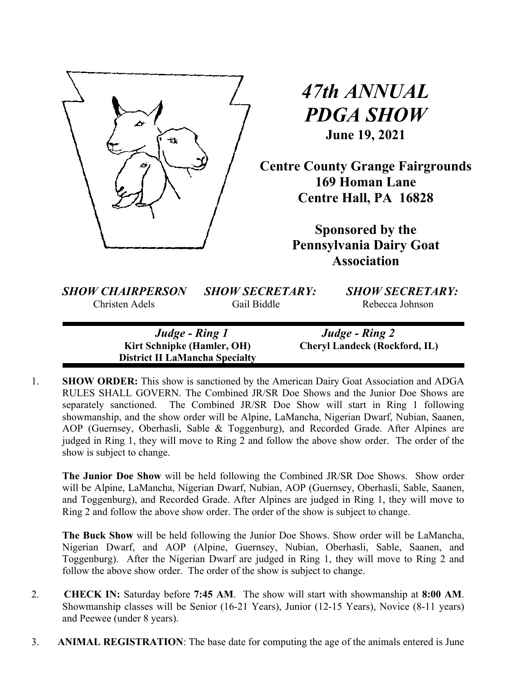

# *47th ANNUAL PDGA SHOW* **June 19, 2021**

**Centre County Grange Fairgrounds 169 Homan Lane Centre Hall, PA 16828**

> **Sponsored by the Pennsylvania Dairy Goat Association**

*SHOW CHAIRPERSON SHOW SECRETARY: SHOW SECRETARY:*

Christen Adels Gail Biddle Rebecca Johnson

*Judge - Ring 1 Judge - Ring 2*   **District II LaMancha Specialty** 

 **Kirt Schnipke (Hamler, OH) Cheryl Landeck (Rockford, IL)** 

1. **SHOW ORDER:** This show is sanctioned by the American Dairy Goat Association and ADGA RULES SHALL GOVERN. The Combined JR/SR Doe Shows and the Junior Doe Shows are separately sanctioned. The Combined JR/SR Doe Show will start in Ring 1 following showmanship, and the show order will be Alpine, LaMancha, Nigerian Dwarf, Nubian, Saanen, AOP (Guernsey, Oberhasli, Sable & Toggenburg), and Recorded Grade. After Alpines are judged in Ring 1, they will move to Ring 2 and follow the above show order. The order of the show is subject to change.

**The Junior Doe Show** will be held following the Combined JR/SR Doe Shows. Show order will be Alpine, LaMancha, Nigerian Dwarf, Nubian, AOP (Guernsey, Oberhasli, Sable, Saanen, and Toggenburg), and Recorded Grade. After Alpines are judged in Ring 1, they will move to Ring 2 and follow the above show order. The order of the show is subject to change.

**The Buck Show** will be held following the Junior Doe Shows. Show order will be LaMancha, Nigerian Dwarf, and AOP (Alpine, Guernsey, Nubian, Oberhasli, Sable, Saanen, and Toggenburg). After the Nigerian Dwarf are judged in Ring 1, they will move to Ring 2 and follow the above show order. The order of the show is subject to change.

- 2. **CHECK IN:** Saturday before **7:45 AM**. The show will start with showmanship at **8:00 AM**. Showmanship classes will be Senior (16-21 Years), Junior (12-15 Years), Novice (8-11 years) and Peewee (under 8 years).
- 3. **ANIMAL REGISTRATION**: The base date for computing the age of the animals entered is June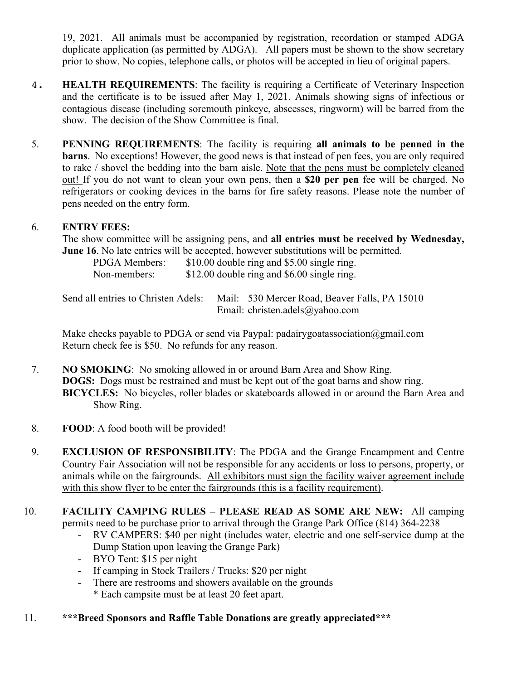19, 2021. All animals must be accompanied by registration, recordation or stamped ADGA duplicate application (as permitted by ADGA). All papers must be shown to the show secretary prior to show. No copies, telephone calls, or photos will be accepted in lieu of original papers.

- 4. **HEALTH REQUIREMENTS**: The facility is requiring a Certificate of Veterinary Inspection and the certificate is to be issued after May 1, 2021. Animals showing signs of infectious or contagious disease (including soremouth pinkeye, abscesses, ringworm) will be barred from the show. The decision of the Show Committee is final.
- 5. **PENNING REQUIREMENTS**: The facility is requiring **all animals to be penned in the barns**. No exceptions! However, the good news is that instead of pen fees, you are only required to rake / shovel the bedding into the barn aisle. Note that the pens must be completely cleaned out! If you do not want to clean your own pens, then a **\$20 per pen** fee will be charged. No refrigerators or cooking devices in the barns for fire safety reasons. Please note the number of pens needed on the entry form.

## 6. **ENTRY FEES:**

The show committee will be assigning pens, and **all entries must be received by Wednesday, June 16**. No late entries will be accepted, however substitutions will be permitted.

PDGA Members: \$10.00 double ring and \$5.00 single ring. Non-members:  $$12.00$  double ring and \$6.00 single ring.

Send all entries to Christen Adels: Mail: 530 Mercer Road, Beaver Falls, PA 15010 Email: christen.adels@yahoo.com

Make checks payable to PDGA or send via Paypal: padairygoatassociation@gmail.com Return check fee is \$50. No refunds for any reason.

- 7. **NO SMOKING**: No smoking allowed in or around Barn Area and Show Ring. **DOGS:** Dogs must be restrained and must be kept out of the goat barns and show ring. **BICYCLES:** No bicycles, roller blades or skateboards allowed in or around the Barn Area and Show Ring.
- 8. **FOOD**: A food booth will be provided!
- 9. **EXCLUSION OF RESPONSIBILITY**: The PDGA and the Grange Encampment and Centre Country Fair Association will not be responsible for any accidents or loss to persons, property, or animals while on the fairgrounds. All exhibitors must sign the facility waiver agreement include with this show flyer to be enter the fairgrounds (this is a facility requirement).
- 10. **FACILITY CAMPING RULES – PLEASE READ AS SOME ARE NEW:** All camping permits need to be purchase prior to arrival through the Grange Park Office (814) 364-2238
	- RV CAMPERS: \$40 per night (includes water, electric and one self-service dump at the Dump Station upon leaving the Grange Park)
	- BYO Tent: \$15 per night
	- If camping in Stock Trailers / Trucks: \$20 per night
	- There are restrooms and showers available on the grounds \* Each campsite must be at least 20 feet apart.

# 11. **\*\*\*Breed Sponsors and Raffle Table Donations are greatly appreciated\*\*\***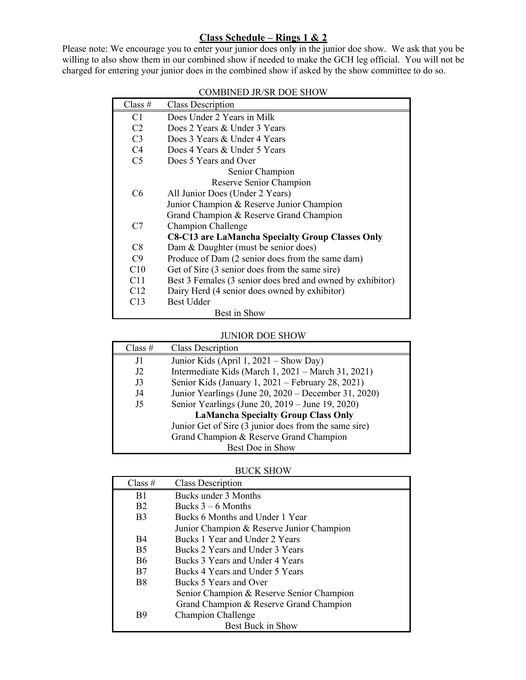## **Class Schedule – Rings 1 & 2**

Please note: We encourage you to enter your junior does only in the junior doe show. We ask that you be willing to also show them in our combined show if needed to make the GCH leg official. You will not be charged for entering your junior does in the combined show if asked by the show committee to do so.

| Class $#$                | <b>Class Description</b>                                   |  |  |
|--------------------------|------------------------------------------------------------|--|--|
| C1                       | Does Under 2 Years in Milk                                 |  |  |
| C <sub>2</sub>           | Does 2 Years & Under 3 Years                               |  |  |
| C <sub>3</sub>           | Does 3 Years & Under 4 Years                               |  |  |
| C4                       | Does 4 Years & Under 5 Years                               |  |  |
| C <sub>5</sub>           | Does 5 Years and Over                                      |  |  |
|                          | Senior Champion                                            |  |  |
|                          | Reserve Senior Champion                                    |  |  |
| C <sub>6</sub>           | All Junior Does (Under 2 Years)                            |  |  |
|                          | Junior Champion & Reserve Junior Champion                  |  |  |
|                          | Grand Champion & Reserve Grand Champion                    |  |  |
| Champion Challenge<br>C7 |                                                            |  |  |
|                          | <b>C8-C13 are LaMancha Specialty Group Classes Only</b>    |  |  |
| C8                       | Dam & Daughter (must be senior does)                       |  |  |
| C9                       | Produce of Dam (2 senior does from the same dam)           |  |  |
| C10                      | Get of Sire (3 senior does from the same sire)             |  |  |
| C11                      | Best 3 Females (3 senior does bred and owned by exhibitor) |  |  |
| C12                      | Dairy Herd (4 senior does owned by exhibitor)              |  |  |
| C13                      | <b>Best Udder</b>                                          |  |  |
|                          | Best in Show                                               |  |  |

#### COMBINED JR/SR DOE SHOW

#### JUNIOR DOE SHOW

| Class # | <b>Class Description</b>                              |
|---------|-------------------------------------------------------|
| J1      | Junior Kids (April 1, 2021 – Show Day)                |
| J2      | Intermediate Kids (March 1, 2021 – March 31, 2021)    |
| J3      | Senior Kids (January 1, 2021 – February 28, 2021)     |
| J4      | Junior Yearlings (June 20, 2020 – December 31, 2020)  |
| J5      | Senior Yearlings (June 20, 2019 – June 19, 2020)      |
|         | <b>LaMancha Specialty Group Class Only</b>            |
|         | Junior Get of Sire (3 junior does from the same sire) |
|         | Grand Champion & Reserve Grand Champion               |
|         | Best Doe in Show                                      |

#### BUCK SHOW

| Class $#$      | <b>Class Description</b>                  |
|----------------|-------------------------------------------|
| B1             | Bucks under 3 Months                      |
| <b>B2</b>      | Bucks $3-6$ Months                        |
| B <sub>3</sub> | Bucks 6 Months and Under 1 Year           |
|                | Junior Champion & Reserve Junior Champion |
| <b>B4</b>      | Bucks 1 Year and Under 2 Years            |
| <b>B5</b>      | Bucks 2 Years and Under 3 Years           |
| <b>B6</b>      | Bucks 3 Years and Under 4 Years           |
| B7             | Bucks 4 Years and Under 5 Years           |
| B8             | Bucks 5 Years and Over                    |
|                | Senior Champion & Reserve Senior Champion |
|                | Grand Champion & Reserve Grand Champion   |
| B9             | Champion Challenge                        |
|                | Best Buck in Show                         |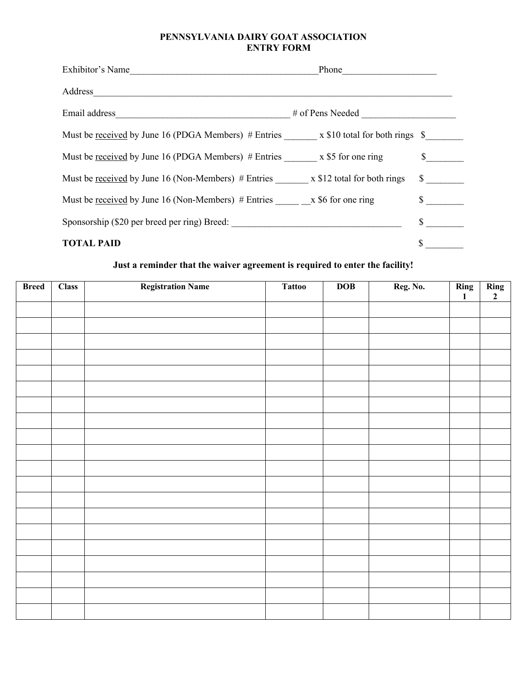#### **PENNSYLVANIA DAIRY GOAT ASSOCIATION ENTRY FORM**

| Exhibitor's Name                                                                             | Phone            |    |
|----------------------------------------------------------------------------------------------|------------------|----|
| Address                                                                                      |                  |    |
| Email address                                                                                | # of Pens Needed |    |
| Must be <u>received</u> by June 16 (PDGA Members) # Entries $x$ \$10 total for both rings \$ |                  |    |
| Must be <u>received</u> by June 16 (PDGA Members) # Entries $x $5$ for one ring              |                  |    |
| Must be received by June 16 (Non-Members) $#$ Entries $x $12$ total for both rings           |                  | \$ |
| Must be <u>received</u> by June 16 (Non-Members) # Entries $x $6$ for one ring               |                  |    |
|                                                                                              |                  | S  |
| <b>TOTAL PAID</b>                                                                            |                  |    |

# **Just a reminder that the waiver agreement is required to enter the facility!**

| <b>Breed</b> | <b>Class</b> | <b>Registration Name</b> | <b>Tattoo</b> | <b>DOB</b> | Reg. No. | Ring<br>$\mathbf{1}$ | $\frac{\mathop{\mathrm{Ring}}\nolimits}{2}$ |
|--------------|--------------|--------------------------|---------------|------------|----------|----------------------|---------------------------------------------|
|              |              |                          |               |            |          |                      |                                             |
|              |              |                          |               |            |          |                      |                                             |
|              |              |                          |               |            |          |                      |                                             |
|              |              |                          |               |            |          |                      |                                             |
|              |              |                          |               |            |          |                      |                                             |
|              |              |                          |               |            |          |                      |                                             |
|              |              |                          |               |            |          |                      |                                             |
|              |              |                          |               |            |          |                      |                                             |
|              |              |                          |               |            |          |                      |                                             |
|              |              |                          |               |            |          |                      |                                             |
|              |              |                          |               |            |          |                      |                                             |
|              |              |                          |               |            |          |                      |                                             |
|              |              |                          |               |            |          |                      |                                             |
|              |              |                          |               |            |          |                      |                                             |
|              |              |                          |               |            |          |                      |                                             |
|              |              |                          |               |            |          |                      |                                             |
|              |              |                          |               |            |          |                      |                                             |
|              |              |                          |               |            |          |                      |                                             |
|              |              |                          |               |            |          |                      |                                             |
|              |              |                          |               |            |          |                      |                                             |